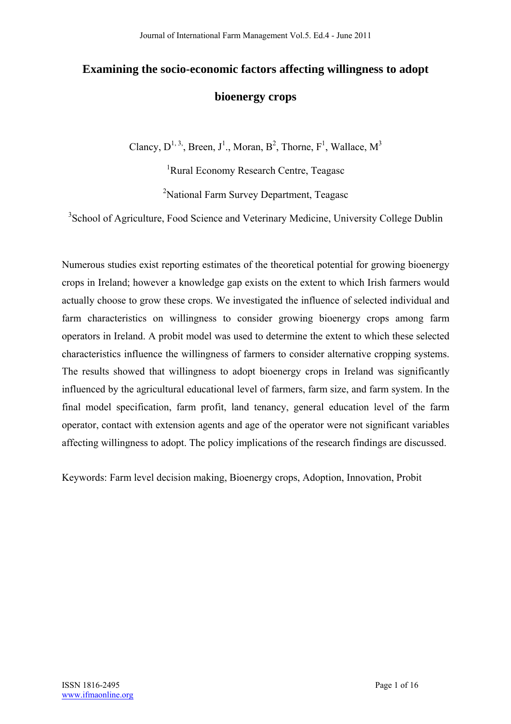# **Examining the socio-economic factors affecting willingness to adopt bioenergy crops**

Clancy,  $D^{1,3}$ , Breen,  $J^1$ ., Moran,  $B^2$ , Thorne,  $F^1$ , Wallace,  $M^3$ 

<sup>1</sup>Rural Economy Research Centre, Teagasc <sup>2</sup>National Farm Survey Department, Teagasc

<sup>3</sup> School of Agriculture, Food Science and Veterinary Medicine, University College Dublin

Numerous studies exist reporting estimates of the theoretical potential for growing bioenergy crops in Ireland; however a knowledge gap exists on the extent to which Irish farmers would actually choose to grow these crops. We investigated the influence of selected individual and farm characteristics on willingness to consider growing bioenergy crops among farm operators in Ireland. A probit model was used to determine the extent to which these selected characteristics influence the willingness of farmers to consider alternative cropping systems. The results showed that willingness to adopt bioenergy crops in Ireland was significantly influenced by the agricultural educational level of farmers, farm size, and farm system. In the final model specification, farm profit, land tenancy, general education level of the farm operator, contact with extension agents and age of the operator were not significant variables affecting willingness to adopt. The policy implications of the research findings are discussed.

Keywords: Farm level decision making, Bioenergy crops, Adoption, Innovation, Probit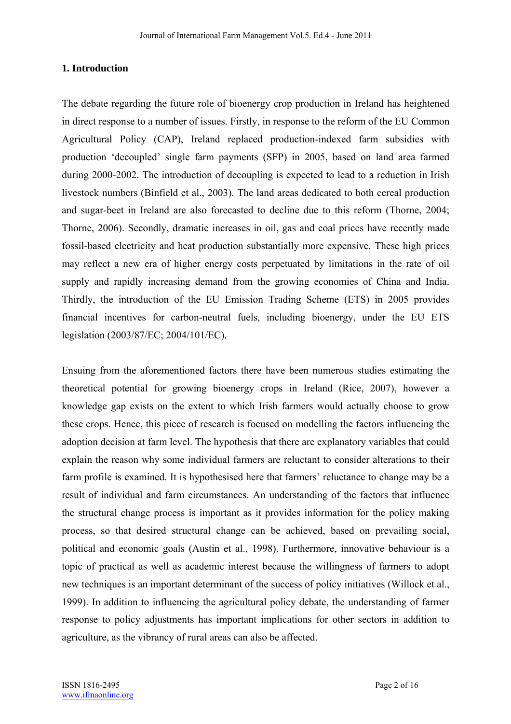## **1. Introduction**

The debate regarding the future role of bioenergy crop production in Ireland has heightened in direct response to a number of issues. Firstly, in response to the reform of the EU Common Agricultural Policy (CAP), Ireland replaced production-indexed farm subsidies with production 'decoupled' single farm payments (SFP) in 2005, based on land area farmed during 2000-2002. The introduction of decoupling is expected to lead to a reduction in Irish livestock numbers (Binfield et al., 2003). The land areas dedicated to both cereal production and sugar-beet in Ireland are also forecasted to decline due to this reform (Thorne, 2004; Thorne, 2006). Secondly, dramatic increases in oil, gas and coal prices have recently made fossil-based electricity and heat production substantially more expensive. These high prices may reflect a new era of higher energy costs perpetuated by limitations in the rate of oil supply and rapidly increasing demand from the growing economies of China and India. Thirdly, the introduction of the EU Emission Trading Scheme (ETS) in 2005 provides financial incentives for carbon-neutral fuels, including bioenergy, under the EU ETS legislation (2003/87/EC; 2004/101/EC).

Ensuing from the aforementioned factors there have been numerous studies estimating the theoretical potential for growing bioenergy crops in Ireland (Rice, 2007), however a knowledge gap exists on the extent to which Irish farmers would actually choose to grow these crops. Hence, this piece of research is focused on modelling the factors influencing the adoption decision at farm level. The hypothesis that there are explanatory variables that could explain the reason why some individual farmers are reluctant to consider alterations to their farm profile is examined. It is hypothesised here that farmers' reluctance to change may be a result of individual and farm circumstances. An understanding of the factors that influence the structural change process is important as it provides information for the policy making process, so that desired structural change can be achieved, based on prevailing social, political and economic goals (Austin et al., 1998). Furthermore, innovative behaviour is a topic of practical as well as academic interest because the willingness of farmers to adopt new techniques is an important determinant of the success of policy initiatives (Willock et al., 1999). In addition to influencing the agricultural policy debate, the understanding of farmer response to policy adjustments has important implications for other sectors in addition to agriculture, as the vibrancy of rural areas can also be affected.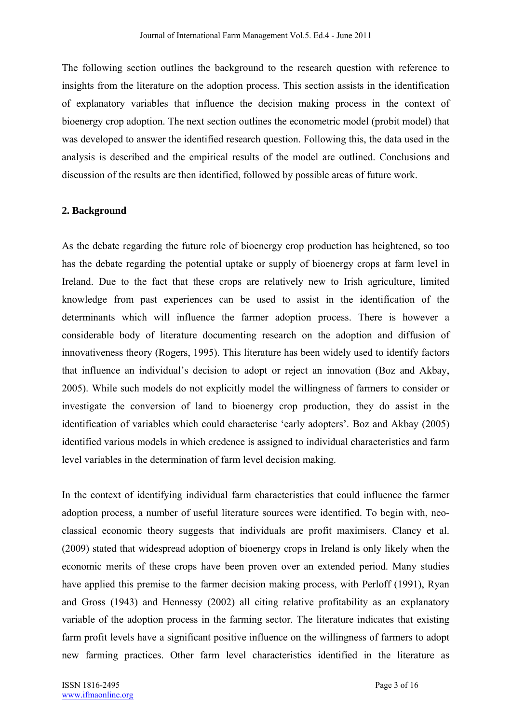The following section outlines the background to the research question with reference to insights from the literature on the adoption process. This section assists in the identification of explanatory variables that influence the decision making process in the context of bioenergy crop adoption. The next section outlines the econometric model (probit model) that was developed to answer the identified research question. Following this, the data used in the analysis is described and the empirical results of the model are outlined. Conclusions and discussion of the results are then identified, followed by possible areas of future work.

## **2. Background**

As the debate regarding the future role of bioenergy crop production has heightened, so too has the debate regarding the potential uptake or supply of bioenergy crops at farm level in Ireland. Due to the fact that these crops are relatively new to Irish agriculture, limited knowledge from past experiences can be used to assist in the identification of the determinants which will influence the farmer adoption process. There is however a considerable body of literature documenting research on the adoption and diffusion of innovativeness theory (Rogers, 1995). This literature has been widely used to identify factors that influence an individual's decision to adopt or reject an innovation (Boz and Akbay, 2005). While such models do not explicitly model the willingness of farmers to consider or investigate the conversion of land to bioenergy crop production, they do assist in the identification of variables which could characterise 'early adopters'. Boz and Akbay (2005) identified various models in which credence is assigned to individual characteristics and farm level variables in the determination of farm level decision making.

In the context of identifying individual farm characteristics that could influence the farmer adoption process, a number of useful literature sources were identified. To begin with, neoclassical economic theory suggests that individuals are profit maximisers. Clancy et al. (2009) stated that widespread adoption of bioenergy crops in Ireland is only likely when the economic merits of these crops have been proven over an extended period. Many studies have applied this premise to the farmer decision making process, with Perloff (1991), Ryan and Gross (1943) and Hennessy (2002) all citing relative profitability as an explanatory variable of the adoption process in the farming sector. The literature indicates that existing farm profit levels have a significant positive influence on the willingness of farmers to adopt new farming practices. Other farm level characteristics identified in the literature as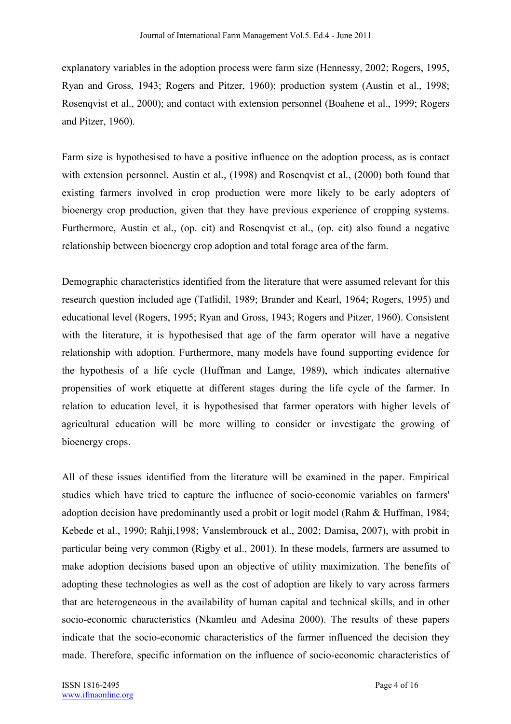explanatory variables in the adoption process were farm size (Hennessy, 2002; Rogers, 1995, Ryan and Gross, 1943; Rogers and Pitzer, 1960); production system (Austin et al., 1998; Rosenqvist et al., 2000); and contact with extension personnel (Boahene et al., 1999; Rogers and Pitzer, 1960).

Farm size is hypothesised to have a positive influence on the adoption process, as is contact with extension personnel. Austin et al*.,* (1998) and Rosenqvist et al*.*, (2000) both found that existing farmers involved in crop production were more likely to be early adopters of bioenergy crop production, given that they have previous experience of cropping systems. Furthermore, Austin et al*.,* (op. cit) and Rosenqvist et al*.*, (op. cit) also found a negative relationship between bioenergy crop adoption and total forage area of the farm.

Demographic characteristics identified from the literature that were assumed relevant for this research question included age (Tatlidil, 1989; Brander and Kearl, 1964; Rogers, 1995) and educational level (Rogers, 1995; Ryan and Gross, 1943; Rogers and Pitzer, 1960). Consistent with the literature, it is hypothesised that age of the farm operator will have a negative relationship with adoption. Furthermore, many models have found supporting evidence for the hypothesis of a life cycle (Huffman and Lange, 1989), which indicates alternative propensities of work etiquette at different stages during the life cycle of the farmer. In relation to education level, it is hypothesised that farmer operators with higher levels of agricultural education will be more willing to consider or investigate the growing of bioenergy crops.

All of these issues identified from the literature will be examined in the paper. Empirical studies which have tried to capture the influence of socio-economic variables on farmers' adoption decision have predominantly used a probit or logit model (Rahm & Huffman, 1984; Kebede et al., 1990; Rahji,1998; Vanslembrouck et al., 2002; Damisa, 2007), with probit in particular being very common (Rigby et al., 2001). In these models, farmers are assumed to make adoption decisions based upon an objective of utility maximization. The benefits of adopting these technologies as well as the cost of adoption are likely to vary across farmers that are heterogeneous in the availability of human capital and technical skills, and in other socio-economic characteristics (Nkamleu and Adesina 2000). The results of these papers indicate that the socio-economic characteristics of the farmer influenced the decision they made. Therefore, specific information on the influence of socio-economic characteristics of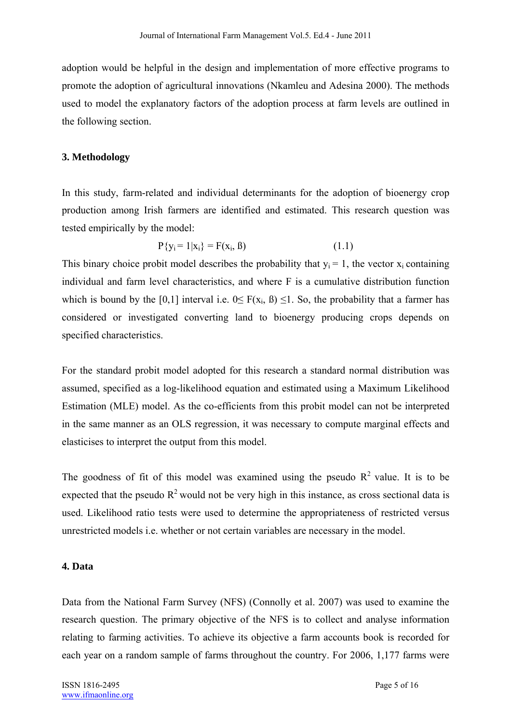adoption would be helpful in the design and implementation of more effective programs to promote the adoption of agricultural innovations (Nkamleu and Adesina 2000). The methods used to model the explanatory factors of the adoption process at farm levels are outlined in the following section.

#### **3. Methodology**

In this study, farm-related and individual determinants for the adoption of bioenergy crop production among Irish farmers are identified and estimated. This research question was tested empirically by the model:

$$
P{y_i = 1 | x_i} = F(x_i, \beta)
$$
 (1.1)

This binary choice probit model describes the probability that  $y_i = 1$ , the vector  $x_i$  containing individual and farm level characteristics, and where F is a cumulative distribution function which is bound by the [0,1] interval i.e.  $0 \leq F(x_i, \beta) \leq 1$ . So, the probability that a farmer has considered or investigated converting land to bioenergy producing crops depends on specified characteristics.

For the standard probit model adopted for this research a standard normal distribution was assumed, specified as a log-likelihood equation and estimated using a Maximum Likelihood Estimation (MLE) model. As the co-efficients from this probit model can not be interpreted in the same manner as an OLS regression, it was necessary to compute marginal effects and elasticises to interpret the output from this model.

The goodness of fit of this model was examined using the pseudo  $R^2$  value. It is to be expected that the pseudo  $R^2$  would not be very high in this instance, as cross sectional data is used. Likelihood ratio tests were used to determine the appropriateness of restricted versus unrestricted models i.e. whether or not certain variables are necessary in the model.

## **4. Data**

Data from the National Farm Survey (NFS) (Connolly et al. 2007) was used to examine the research question. The primary objective of the NFS is to collect and analyse information relating to farming activities. To achieve its objective a farm accounts book is recorded for each year on a random sample of farms throughout the country. For 2006, 1,177 farms were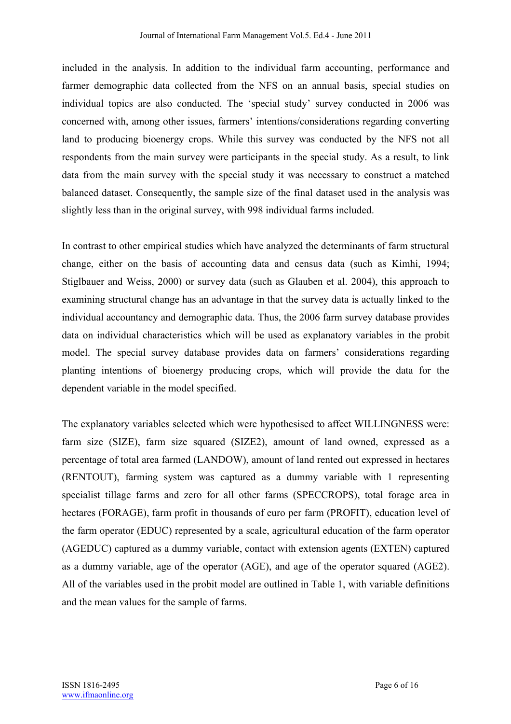included in the analysis. In addition to the individual farm accounting, performance and farmer demographic data collected from the NFS on an annual basis, special studies on individual topics are also conducted. The 'special study' survey conducted in 2006 was concerned with, among other issues, farmers' intentions/considerations regarding converting land to producing bioenergy crops. While this survey was conducted by the NFS not all respondents from the main survey were participants in the special study. As a result, to link data from the main survey with the special study it was necessary to construct a matched balanced dataset. Consequently, the sample size of the final dataset used in the analysis was slightly less than in the original survey, with 998 individual farms included.

In contrast to other empirical studies which have analyzed the determinants of farm structural change, either on the basis of accounting data and census data (such as Kimhi, 1994; Stiglbauer and Weiss, 2000) or survey data (such as Glauben et al. 2004), this approach to examining structural change has an advantage in that the survey data is actually linked to the individual accountancy and demographic data. Thus, the 2006 farm survey database provides data on individual characteristics which will be used as explanatory variables in the probit model. The special survey database provides data on farmers' considerations regarding planting intentions of bioenergy producing crops, which will provide the data for the dependent variable in the model specified.

The explanatory variables selected which were hypothesised to affect WILLINGNESS were: farm size (SIZE), farm size squared (SIZE2), amount of land owned, expressed as a percentage of total area farmed (LANDOW), amount of land rented out expressed in hectares (RENTOUT), farming system was captured as a dummy variable with 1 representing specialist tillage farms and zero for all other farms (SPECCROPS), total forage area in hectares (FORAGE), farm profit in thousands of euro per farm (PROFIT), education level of the farm operator (EDUC) represented by a scale, agricultural education of the farm operator (AGEDUC) captured as a dummy variable, contact with extension agents (EXTEN) captured as a dummy variable, age of the operator (AGE), and age of the operator squared (AGE2). All of the variables used in the probit model are outlined in Table 1, with variable definitions and the mean values for the sample of farms.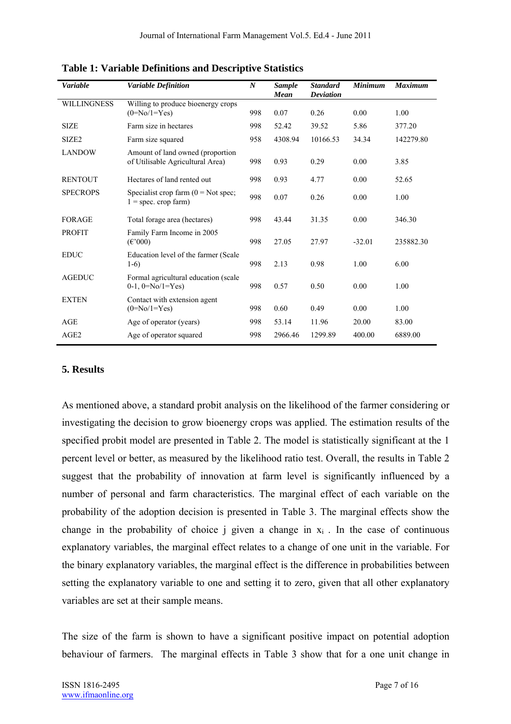| <b>Variable</b>    | <b>Variable Definition</b>                                              | $\boldsymbol{N}$ | <b>Sample</b><br><b>Mean</b> | <b>Standard</b><br><b>Deviation</b> | <b>Minimum</b> | <b>Maximum</b> |  |
|--------------------|-------------------------------------------------------------------------|------------------|------------------------------|-------------------------------------|----------------|----------------|--|
| <b>WILLINGNESS</b> | Willing to produce bioenergy crops<br>$(0=N_0/1=Y_{es})$                | 998              | 0.07                         | 0.26                                | 0.00           | 1.00           |  |
| <b>SIZE</b>        | Farm size in hectares                                                   | 998              | 52.42                        | 39.52                               | 5.86           | 377.20         |  |
| SIZE <sub>2</sub>  | Farm size squared                                                       | 958              | 4308.94                      | 10166.53                            | 34.34          | 142279.80      |  |
| <b>LANDOW</b>      | Amount of land owned (proportion<br>of Utilisable Agricultural Area)    | 998              | 0.93                         | 0.29                                | 0.00           | 3.85           |  |
| <b>RENTOUT</b>     | Hectares of land rented out                                             | 998              | 0.93                         | 4.77                                | 0.00           | 52.65          |  |
| <b>SPECROPS</b>    | Specialist crop farm $(0 = Not spec)$ ;<br>$1 =$ spec. crop farm)       | 998              | 0.07                         | 0.26                                | 0.00           | 1.00           |  |
| <b>FORAGE</b>      | Total forage area (hectares)                                            | 998              | 43.44                        | 31.35                               | 0.00           | 346.30         |  |
| <b>PROFIT</b>      | Family Farm Income in 2005<br>$(\text{\ensuremath{\mathfrak{E}}}\,000)$ | 998              | 27.05                        | 27.97                               | $-32.01$       | 235882.30      |  |
| <b>EDUC</b>        | Education level of the farmer (Scale<br>$1-6$                           | 998              | 2.13                         | 0.98                                | 1.00           | 6.00           |  |
| <b>AGEDUC</b>      | Formal agricultural education (scale<br>$0-1$ , $0=N_0/1=Y$ es)         | 998              | 0.57                         | 0.50                                | 0.00           | 1.00           |  |
| <b>EXTEN</b>       | Contact with extension agent<br>$(0=No/1=Yes)$                          | 998              | 0.60                         | 0.49                                | 0.00           | 1.00           |  |
| AGE                | Age of operator (years)                                                 | 998              | 53.14                        | 11.96                               | 20.00          | 83.00          |  |
| AGE <sub>2</sub>   | Age of operator squared                                                 | 998              | 2966.46                      | 1299.89                             | 400.00         | 6889.00        |  |

**Table 1: Variable Definitions and Descriptive Statistics** 

#### **5. Results**

As mentioned above, a standard probit analysis on the likelihood of the farmer considering or investigating the decision to grow bioenergy crops was applied. The estimation results of the specified probit model are presented in Table 2. The model is statistically significant at the 1 percent level or better, as measured by the likelihood ratio test. Overall, the results in Table 2 suggest that the probability of innovation at farm level is significantly influenced by a number of personal and farm characteristics. The marginal effect of each variable on the probability of the adoption decision is presented in Table 3. The marginal effects show the change in the probability of choice j given a change in  $x_i$ . In the case of continuous explanatory variables, the marginal effect relates to a change of one unit in the variable. For the binary explanatory variables, the marginal effect is the difference in probabilities between setting the explanatory variable to one and setting it to zero, given that all other explanatory variables are set at their sample means.

The size of the farm is shown to have a significant positive impact on potential adoption behaviour of farmers. The marginal effects in Table 3 show that for a one unit change in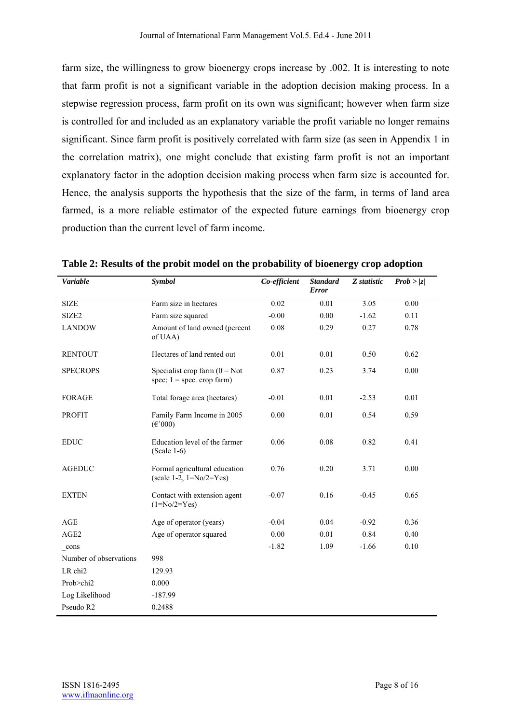farm size, the willingness to grow bioenergy crops increase by .002. It is interesting to note that farm profit is not a significant variable in the adoption decision making process. In a stepwise regression process, farm profit on its own was significant; however when farm size is controlled for and included as an explanatory variable the profit variable no longer remains significant. Since farm profit is positively correlated with farm size (as seen in Appendix 1 in the correlation matrix), one might conclude that existing farm profit is not an important explanatory factor in the adoption decision making process when farm size is accounted for. Hence, the analysis supports the hypothesis that the size of the farm, in terms of land area farmed, is a more reliable estimator of the expected future earnings from bioenergy crop production than the current level of farm income.

| <b>Variable</b>        | <b>Symbol</b>                                                           | Co-efficient | <b>Standard</b><br><b>Error</b> | Z statistic | Prob >  z |  |
|------------------------|-------------------------------------------------------------------------|--------------|---------------------------------|-------------|-----------|--|
| <b>SIZE</b>            | Farm size in hectares                                                   | 0.02         | 0.01                            | 3.05        | 0.00      |  |
|                        |                                                                         |              |                                 |             |           |  |
| SIZE <sub>2</sub>      | Farm size squared                                                       | $-0.00$      | 0.00                            | $-1.62$     | 0.11      |  |
| <b>LANDOW</b>          | Amount of land owned (percent<br>of UAA)                                | 0.08         | 0.29                            | 0.27        | 0.78      |  |
| <b>RENTOUT</b>         | Hectares of land rented out                                             | 0.01         | 0.01                            | 0.50        | 0.62      |  |
| <b>SPECROPS</b>        | Specialist crop farm $(0 = Not$<br>spec; $1 =$ spec. crop farm)         | 0.87         | 0.23                            | 3.74        | 0.00      |  |
| <b>FORAGE</b>          | Total forage area (hectares)                                            | $-0.01$      | 0.01                            | $-2.53$     | 0.01      |  |
| <b>PROFIT</b>          | Family Farm Income in 2005<br>$(\text{\ensuremath{\mathfrak{E}}}\,000)$ | 0.00         | 0.01                            | 0.54        | 0.59      |  |
| <b>EDUC</b>            | Education level of the farmer<br>$(Scale 1-6)$                          | 0.06         | 0.08                            | 0.82        | 0.41      |  |
| <b>AGEDUC</b>          | Formal agricultural education<br>(scale 1-2, $1 = No/2 = Yes$ )         | 0.76         | 0.20                            | 3.71        | 0.00      |  |
| <b>EXTEN</b>           | Contact with extension agent<br>$(1 = No/2 = Yes)$                      | $-0.07$      | 0.16                            | $-0.45$     | 0.65      |  |
| AGE                    | Age of operator (years)                                                 | $-0.04$      | 0.04                            | $-0.92$     | 0.36      |  |
| AGE2                   | Age of operator squared                                                 | 0.00         | 0.01                            | 0.84        | 0.40      |  |
| cons                   |                                                                         | $-1.82$      | 1.09                            | $-1.66$     | 0.10      |  |
| Number of observations | 998                                                                     |              |                                 |             |           |  |
| LR chi2                | 129.93                                                                  |              |                                 |             |           |  |
| Prob $>$ chi2          | 0.000                                                                   |              |                                 |             |           |  |
| Log Likelihood         | $-187.99$                                                               |              |                                 |             |           |  |
| Pseudo R2              | 0.2488                                                                  |              |                                 |             |           |  |

**Table 2: Results of the probit model on the probability of bioenergy crop adoption**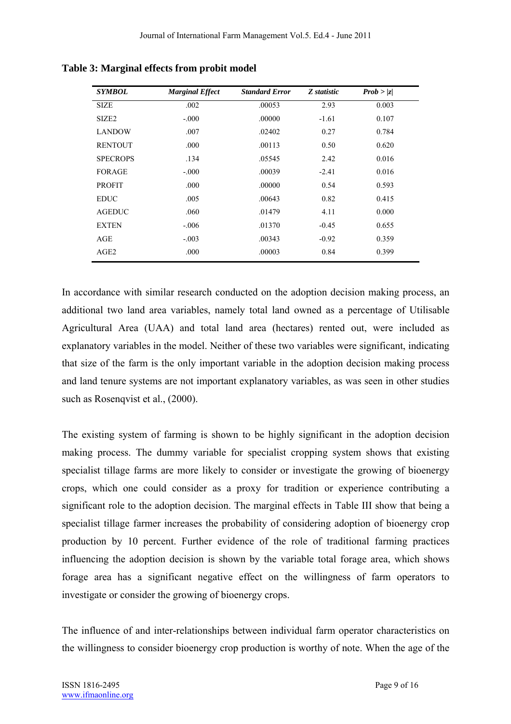| <b>SYMBOL</b>     | <b>Marginal Effect</b> | <b>Standard Error</b> | Z statistic | Prob >  z |
|-------------------|------------------------|-----------------------|-------------|-----------|
| <b>SIZE</b>       | .002                   | .00053                | 2.93        | 0.003     |
| SIZE <sub>2</sub> | $-.000$                | .00000                | $-1.61$     | 0.107     |
| <b>LANDOW</b>     | .007                   | .02402                | 0.27        | 0.784     |
| <b>RENTOUT</b>    | .000                   | .00113                | 0.50        | 0.620     |
| <b>SPECROPS</b>   | .134                   | .05545                | 2.42        | 0.016     |
| <b>FORAGE</b>     | $-.000$                | .00039                | $-2.41$     | 0.016     |
| <b>PROFIT</b>     | .000                   | .00000                | 0.54        | 0.593     |
| <b>EDUC</b>       | .005                   | .00643                | 0.82        | 0.415     |
| <b>AGEDUC</b>     | .060                   | .01479                | 4.11        | 0.000     |
| <b>EXTEN</b>      | $-.006$                | .01370                | $-0.45$     | 0.655     |
| AGE               | $-.003$                | .00343                | $-0.92$     | 0.359     |
| AGE <sub>2</sub>  | .000                   | .00003                | 0.84        | 0.399     |

**Table 3: Marginal effects from probit model** 

In accordance with similar research conducted on the adoption decision making process, an additional two land area variables, namely total land owned as a percentage of Utilisable Agricultural Area (UAA) and total land area (hectares) rented out, were included as explanatory variables in the model. Neither of these two variables were significant, indicating that size of the farm is the only important variable in the adoption decision making process and land tenure systems are not important explanatory variables, as was seen in other studies such as Rosenqvist et al., (2000).

The existing system of farming is shown to be highly significant in the adoption decision making process. The dummy variable for specialist cropping system shows that existing specialist tillage farms are more likely to consider or investigate the growing of bioenergy crops, which one could consider as a proxy for tradition or experience contributing a significant role to the adoption decision. The marginal effects in Table III show that being a specialist tillage farmer increases the probability of considering adoption of bioenergy crop production by 10 percent. Further evidence of the role of traditional farming practices influencing the adoption decision is shown by the variable total forage area, which shows forage area has a significant negative effect on the willingness of farm operators to investigate or consider the growing of bioenergy crops.

The influence of and inter-relationships between individual farm operator characteristics on the willingness to consider bioenergy crop production is worthy of note. When the age of the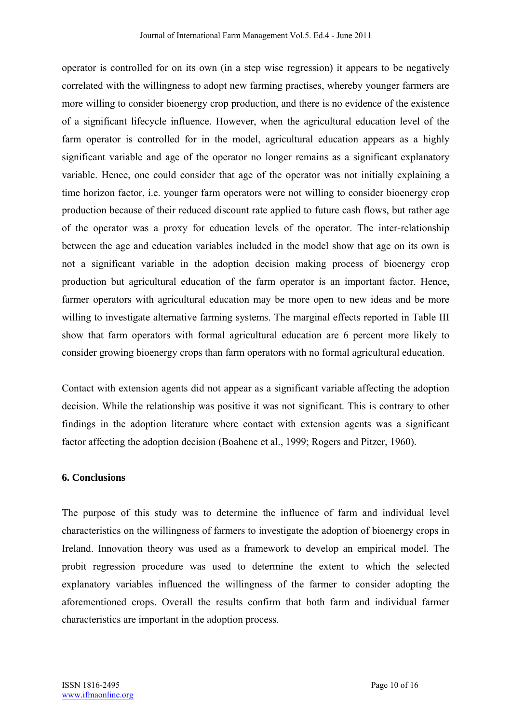operator is controlled for on its own (in a step wise regression) it appears to be negatively correlated with the willingness to adopt new farming practises, whereby younger farmers are more willing to consider bioenergy crop production, and there is no evidence of the existence of a significant lifecycle influence. However, when the agricultural education level of the farm operator is controlled for in the model, agricultural education appears as a highly significant variable and age of the operator no longer remains as a significant explanatory variable. Hence, one could consider that age of the operator was not initially explaining a time horizon factor, i.e. younger farm operators were not willing to consider bioenergy crop production because of their reduced discount rate applied to future cash flows, but rather age of the operator was a proxy for education levels of the operator. The inter-relationship between the age and education variables included in the model show that age on its own is not a significant variable in the adoption decision making process of bioenergy crop production but agricultural education of the farm operator is an important factor. Hence, farmer operators with agricultural education may be more open to new ideas and be more willing to investigate alternative farming systems. The marginal effects reported in Table III show that farm operators with formal agricultural education are 6 percent more likely to consider growing bioenergy crops than farm operators with no formal agricultural education.

Contact with extension agents did not appear as a significant variable affecting the adoption decision. While the relationship was positive it was not significant. This is contrary to other findings in the adoption literature where contact with extension agents was a significant factor affecting the adoption decision (Boahene et al., 1999; Rogers and Pitzer, 1960).

#### **6. Conclusions**

The purpose of this study was to determine the influence of farm and individual level characteristics on the willingness of farmers to investigate the adoption of bioenergy crops in Ireland. Innovation theory was used as a framework to develop an empirical model. The probit regression procedure was used to determine the extent to which the selected explanatory variables influenced the willingness of the farmer to consider adopting the aforementioned crops. Overall the results confirm that both farm and individual farmer characteristics are important in the adoption process.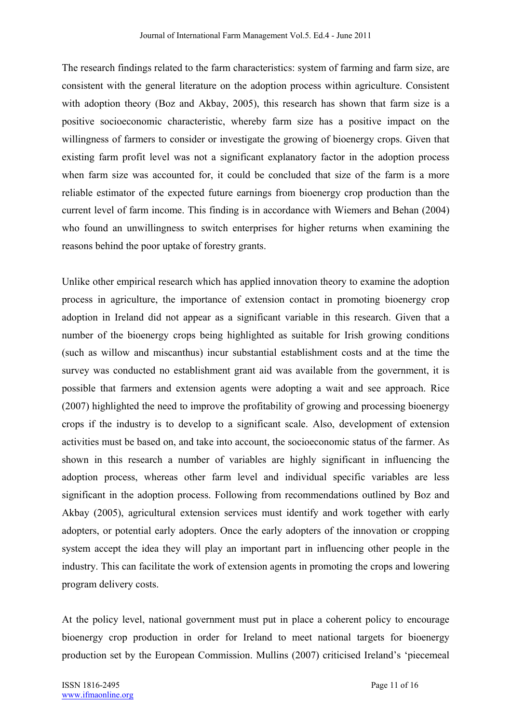The research findings related to the farm characteristics: system of farming and farm size, are consistent with the general literature on the adoption process within agriculture. Consistent with adoption theory (Boz and Akbay, 2005), this research has shown that farm size is a positive socioeconomic characteristic, whereby farm size has a positive impact on the willingness of farmers to consider or investigate the growing of bioenergy crops. Given that existing farm profit level was not a significant explanatory factor in the adoption process when farm size was accounted for, it could be concluded that size of the farm is a more reliable estimator of the expected future earnings from bioenergy crop production than the current level of farm income. This finding is in accordance with Wiemers and Behan (2004) who found an unwillingness to switch enterprises for higher returns when examining the reasons behind the poor uptake of forestry grants.

Unlike other empirical research which has applied innovation theory to examine the adoption process in agriculture, the importance of extension contact in promoting bioenergy crop adoption in Ireland did not appear as a significant variable in this research. Given that a number of the bioenergy crops being highlighted as suitable for Irish growing conditions (such as willow and miscanthus) incur substantial establishment costs and at the time the survey was conducted no establishment grant aid was available from the government, it is possible that farmers and extension agents were adopting a wait and see approach. Rice (2007) highlighted the need to improve the profitability of growing and processing bioenergy crops if the industry is to develop to a significant scale. Also, development of extension activities must be based on, and take into account, the socioeconomic status of the farmer. As shown in this research a number of variables are highly significant in influencing the adoption process, whereas other farm level and individual specific variables are less significant in the adoption process. Following from recommendations outlined by Boz and Akbay (2005), agricultural extension services must identify and work together with early adopters, or potential early adopters. Once the early adopters of the innovation or cropping system accept the idea they will play an important part in influencing other people in the industry. This can facilitate the work of extension agents in promoting the crops and lowering program delivery costs.

At the policy level, national government must put in place a coherent policy to encourage bioenergy crop production in order for Ireland to meet national targets for bioenergy production set by the European Commission. Mullins (2007) criticised Ireland's 'piecemeal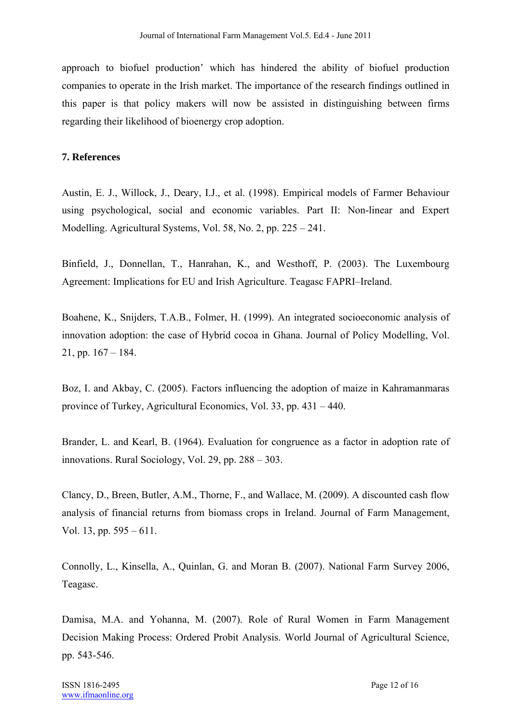approach to biofuel production' which has hindered the ability of biofuel production companies to operate in the Irish market. The importance of the research findings outlined in this paper is that policy makers will now be assisted in distinguishing between firms regarding their likelihood of bioenergy crop adoption.

## **7. References**

Austin, E. J., Willock, J., Deary, I.J., et al. (1998). Empirical models of Farmer Behaviour using psychological, social and economic variables. Part II: Non-linear and Expert Modelling. Agricultural Systems, Vol. 58, No. 2, pp. 225 – 241.

Binfield, J., Donnellan, T., Hanrahan, K., and Westhoff, P. (2003). The Luxembourg Agreement: Implications for EU and Irish Agriculture. Teagasc FAPRI–Ireland.

Boahene, K., Snijders, T.A.B., Folmer, H. (1999). An integrated socioeconomic analysis of innovation adoption: the case of Hybrid cocoa in Ghana. Journal of Policy Modelling, Vol. 21, pp.  $167 - 184$ .

Boz, I. and Akbay, C. (2005). Factors influencing the adoption of maize in Kahramanmaras province of Turkey, Agricultural Economics, Vol. 33, pp. 431 – 440.

Brander, L. and Kearl, B. (1964). Evaluation for congruence as a factor in adoption rate of innovations. Rural Sociology, Vol. 29, pp. 288 – 303.

Clancy, D., Breen, Butler, A.M., Thorne, F., and Wallace, M. (2009). A discounted cash flow analysis of financial returns from biomass crops in Ireland. Journal of Farm Management, Vol. 13, pp. 595 – 611.

Connolly, L., Kinsella, A., Quinlan, G. and Moran B. (2007). National Farm Survey 2006, Teagasc.

Damisa, M.A. and Yohanna, M. (2007). Role of Rural Women in Farm Management Decision Making Process: Ordered Probit Analysis. World Journal of Agricultural Science, pp. 543-546.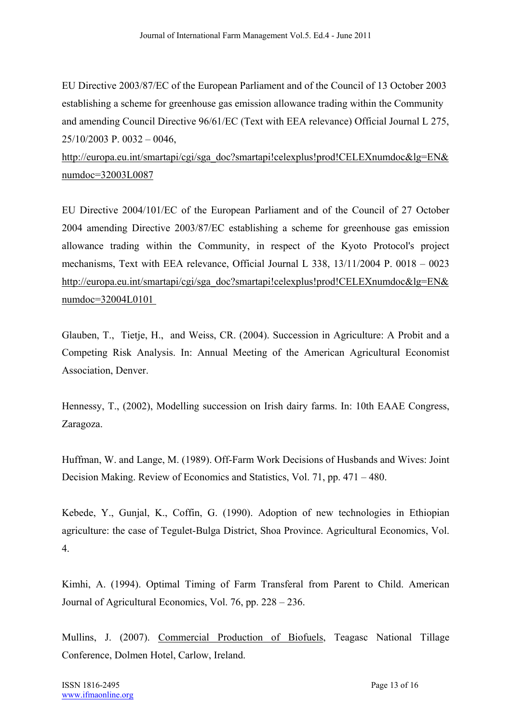EU Directive 2003/87/EC of the European Parliament and of the Council of 13 October 2003 establishing a scheme for greenhouse gas emission allowance trading within the Community and amending Council Directive 96/61/EC (Text with EEA relevance) Official Journal L 275, 25/10/2003 P. 0032 – 0046,

http://europa.eu.int/smartapi/cgi/sga\_doc?smartapi!celexplus!prod!CELEXnumdoc&lg=EN& numdoc=32003L0087

EU Directive 2004/101/EC of the European Parliament and of the Council of 27 October 2004 amending Directive 2003/87/EC establishing a scheme for greenhouse gas emission allowance trading within the Community, in respect of the Kyoto Protocol's project mechanisms, Text with EEA relevance, Official Journal L 338, 13/11/2004 P. 0018 – 0023 http://europa.eu.int/smartapi/cgi/sga\_doc?smartapi!celexplus!prod!CELEXnumdoc&lg=EN& numdoc=32004L0101

Glauben, T., Tietje, H., and Weiss, CR. (2004). Succession in Agriculture: A Probit and a Competing Risk Analysis. In: Annual Meeting of the American Agricultural Economist Association, Denver.

Hennessy, T., (2002), Modelling succession on Irish dairy farms. In: 10th EAAE Congress, Zaragoza.

Huffman, W. and Lange, M. (1989). Off-Farm Work Decisions of Husbands and Wives: Joint Decision Making. Review of Economics and Statistics, Vol. 71, pp. 471 – 480.

Kebede, Y., Gunjal, K., Coffin, G. (1990). Adoption of new technologies in Ethiopian agriculture: the case of Tegulet-Bulga District, Shoa Province. Agricultural Economics, Vol. 4.

Kimhi, A. (1994). Optimal Timing of Farm Transferal from Parent to Child. American Journal of Agricultural Economics, Vol. 76, pp. 228 – 236.

Mullins, J. (2007). Commercial Production of Biofuels, Teagasc National Tillage Conference, Dolmen Hotel, Carlow, Ireland.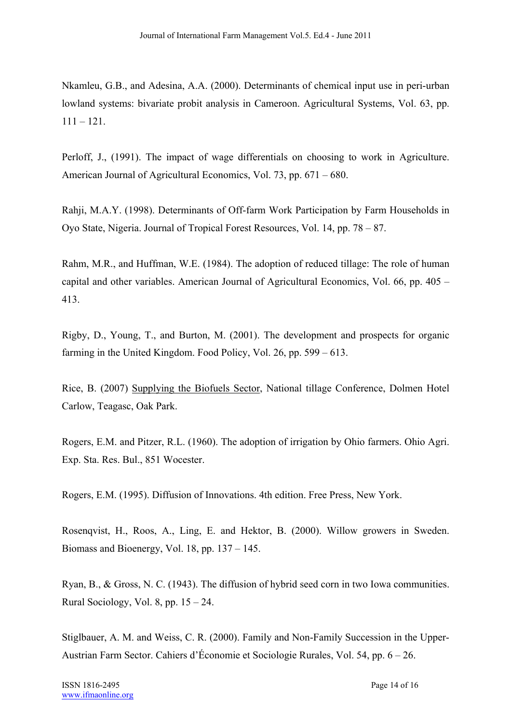Nkamleu, G.B., and Adesina, A.A. (2000). Determinants of chemical input use in peri-urban lowland systems: bivariate probit analysis in Cameroon. Agricultural Systems, Vol. 63, pp. 111 – 121.

Perloff, J., (1991). The impact of wage differentials on choosing to work in Agriculture. American Journal of Agricultural Economics, Vol. 73, pp. 671 – 680.

Rahji, M.A.Y. (1998). Determinants of Off-farm Work Participation by Farm Households in Oyo State, Nigeria. Journal of Tropical Forest Resources, Vol. 14, pp. 78 – 87.

Rahm, M.R., and Huffman, W.E. (1984). The adoption of reduced tillage: The role of human capital and other variables. American Journal of Agricultural Economics, Vol. 66, pp. 405 – 413.

Rigby, D., Young, T., and Burton, M. (2001). The development and prospects for organic farming in the United Kingdom. Food Policy, Vol. 26, pp. 599 – 613.

Rice, B. (2007) Supplying the Biofuels Sector, National tillage Conference, Dolmen Hotel Carlow, Teagasc, Oak Park.

Rogers, E.M. and Pitzer, R.L. (1960). The adoption of irrigation by Ohio farmers. Ohio Agri. Exp. Sta. Res. Bul., 851 Wocester.

Rogers, E.M. (1995). Diffusion of Innovations. 4th edition. Free Press, New York.

Rosenqvist, H., Roos, A., Ling, E. and Hektor, B. (2000). Willow growers in Sweden. Biomass and Bioenergy, Vol. 18, pp. 137 – 145.

Ryan, B., & Gross, N. C. (1943). The diffusion of hybrid seed corn in two Iowa communities. Rural Sociology, Vol. 8, pp.  $15 - 24$ .

Stiglbauer, A. M. and Weiss, C. R. (2000). Family and Non-Family Succession in the Upper-Austrian Farm Sector. Cahiers d'Économie et Sociologie Rurales, Vol. 54, pp. 6 – 26.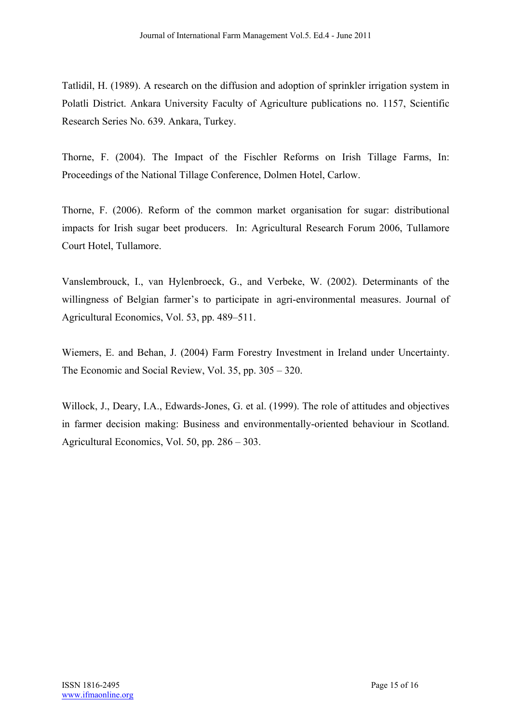Tatlidil, H. (1989). A research on the diffusion and adoption of sprinkler irrigation system in Polatli District. Ankara University Faculty of Agriculture publications no. 1157, Scientific Research Series No. 639. Ankara, Turkey.

Thorne, F. (2004). The Impact of the Fischler Reforms on Irish Tillage Farms, In: Proceedings of the National Tillage Conference, Dolmen Hotel, Carlow.

Thorne, F. (2006). Reform of the common market organisation for sugar: distributional impacts for Irish sugar beet producers. In: Agricultural Research Forum 2006, Tullamore Court Hotel, Tullamore.

Vanslembrouck, I., van Hylenbroeck, G., and Verbeke, W. (2002). Determinants of the willingness of Belgian farmer's to participate in agri-environmental measures. Journal of Agricultural Economics, Vol. 53, pp. 489–511.

Wiemers, E. and Behan, J. (2004) Farm Forestry Investment in Ireland under Uncertainty. The Economic and Social Review, Vol. 35, pp. 305 – 320.

Willock, J., Deary, I.A., Edwards-Jones, G. et al. (1999). The role of attitudes and objectives in farmer decision making: Business and environmentally-oriented behaviour in Scotland. Agricultural Economics, Vol. 50, pp. 286 – 303.